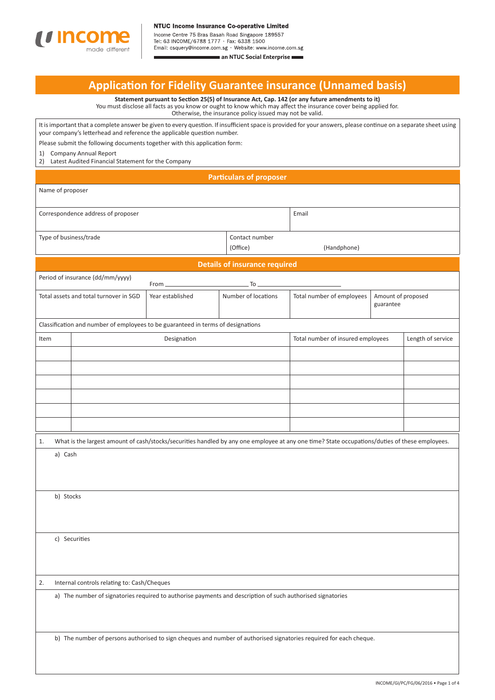

Tel: 63 INCOME/6788 1777 · Fax: 6338 1500

Email: csquery@income.com.sg · Website: www.income.com.sg an NTUC Social Enterprise

## **Applicati on for Fidelity Guarantee insurance (Unnamed basis)**

**Statement pursuant to Secti on 25(5) of Insurance Act, Cap. 142 (or any future amendments to it)** You must disclose all facts as you know or ought to know which may affect the insurance cover being applied for. Otherwise, the insurance policy issued may not be valid.

It is important that a complete answer be given to every question. If insufficient space is provided for your answers, please continue on a separate sheet using your company's letterhead and reference the applicable question number.

Please submit the following documents together with this application form:

1) Company Annual Report

2) Latest Audited Financial Statement for the Company

## **Parti culars of proposer**

| Name of proposer                                                                                                   |                                                                                  |                     |                                                              |                                                                                                                                                |  |                   |  |
|--------------------------------------------------------------------------------------------------------------------|----------------------------------------------------------------------------------|---------------------|--------------------------------------------------------------|------------------------------------------------------------------------------------------------------------------------------------------------|--|-------------------|--|
| Correspondence address of proposer                                                                                 |                                                                                  |                     | Email                                                        |                                                                                                                                                |  |                   |  |
| Type of business/trade                                                                                             |                                                                                  |                     | Contact number<br>(Office)                                   | (Handphone)                                                                                                                                    |  |                   |  |
|                                                                                                                    |                                                                                  |                     | <b>Details of insurance required</b>                         |                                                                                                                                                |  |                   |  |
|                                                                                                                    | Period of insurance (dd/mm/yyyy)                                                 | From _              | To                                                           |                                                                                                                                                |  |                   |  |
| Total assets and total turnover in SGD<br>Year established                                                         |                                                                                  | Number of locations | Total number of employees<br>Amount of proposed<br>guarantee |                                                                                                                                                |  |                   |  |
|                                                                                                                    | Classification and number of employees to be guaranteed in terms of designations |                     |                                                              |                                                                                                                                                |  |                   |  |
| Item                                                                                                               |                                                                                  | Designation         |                                                              | Total number of insured employees                                                                                                              |  | Length of service |  |
|                                                                                                                    |                                                                                  |                     |                                                              |                                                                                                                                                |  |                   |  |
|                                                                                                                    |                                                                                  |                     |                                                              |                                                                                                                                                |  |                   |  |
|                                                                                                                    |                                                                                  |                     |                                                              |                                                                                                                                                |  |                   |  |
|                                                                                                                    |                                                                                  |                     |                                                              |                                                                                                                                                |  |                   |  |
|                                                                                                                    |                                                                                  |                     |                                                              |                                                                                                                                                |  |                   |  |
|                                                                                                                    |                                                                                  |                     |                                                              |                                                                                                                                                |  |                   |  |
| 1.                                                                                                                 |                                                                                  |                     |                                                              | What is the largest amount of cash/stocks/securities handled by any one employee at any one time? State occupations/duties of these employees. |  |                   |  |
| a) Cash                                                                                                            |                                                                                  |                     |                                                              |                                                                                                                                                |  |                   |  |
| b) Stocks                                                                                                          |                                                                                  |                     |                                                              |                                                                                                                                                |  |                   |  |
|                                                                                                                    |                                                                                  |                     |                                                              |                                                                                                                                                |  |                   |  |
|                                                                                                                    |                                                                                  |                     |                                                              |                                                                                                                                                |  |                   |  |
| c) Securities                                                                                                      |                                                                                  |                     |                                                              |                                                                                                                                                |  |                   |  |
|                                                                                                                    |                                                                                  |                     |                                                              |                                                                                                                                                |  |                   |  |
|                                                                                                                    |                                                                                  |                     |                                                              |                                                                                                                                                |  |                   |  |
| Internal controls relating to: Cash/Cheques<br>2.                                                                  |                                                                                  |                     |                                                              |                                                                                                                                                |  |                   |  |
| a) The number of signatories required to authorise payments and description of such authorised signatories         |                                                                                  |                     |                                                              |                                                                                                                                                |  |                   |  |
|                                                                                                                    |                                                                                  |                     |                                                              |                                                                                                                                                |  |                   |  |
| b) The number of persons authorised to sign cheques and number of authorised signatories required for each cheque. |                                                                                  |                     |                                                              |                                                                                                                                                |  |                   |  |
|                                                                                                                    |                                                                                  |                     |                                                              |                                                                                                                                                |  |                   |  |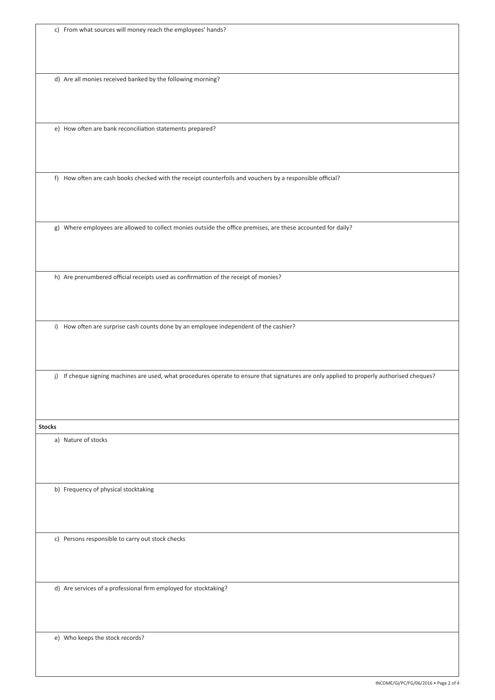|  | c) From what sources will money reach the employees' hands? |  |  |  |
|--|-------------------------------------------------------------|--|--|--|
|--|-------------------------------------------------------------|--|--|--|

d) Are all monies received banked by the following morning?

e) How often are bank reconciliation statements prepared?

f) How often are cash books checked with the receipt counterfoils and vouchers by a responsible official?

g) Where employees are allowed to collect monies outside the office premises, are these accounted for daily?

h) Are prenumbered official receipts used as confirmation of the receipt of monies?

i) How often are surprise cash counts done by an employee independent of the cashier?

j) If cheque signing machines are used, what procedures operate to ensure that signatures are only applied to properly authorised cheques?

**Stocks**

a) Nature of stocks

b) Frequency of physical stocktaking

c) Persons responsible to carry out stock checks

d) Are services of a professional firm employed for stocktaking?

e) Who keeps the stock records?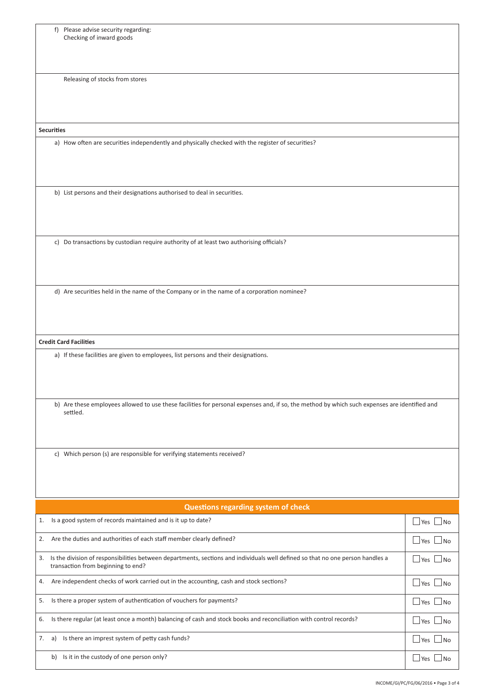| f) Please advise security regarding:<br>Checking of inward goods                                                                                                           |                                                   |  |  |  |
|----------------------------------------------------------------------------------------------------------------------------------------------------------------------------|---------------------------------------------------|--|--|--|
| Releasing of stocks from stores                                                                                                                                            |                                                   |  |  |  |
|                                                                                                                                                                            |                                                   |  |  |  |
|                                                                                                                                                                            |                                                   |  |  |  |
| <b>Securities</b>                                                                                                                                                          |                                                   |  |  |  |
| a) How often are securities independently and physically checked with the register of securities?                                                                          |                                                   |  |  |  |
| b) List persons and their designations authorised to deal in securities.                                                                                                   |                                                   |  |  |  |
| c) Do transactions by custodian require authority of at least two authorising officials?                                                                                   |                                                   |  |  |  |
|                                                                                                                                                                            |                                                   |  |  |  |
| d) Are securities held in the name of the Company or in the name of a corporation nominee?                                                                                 |                                                   |  |  |  |
| <b>Credit Card Facilities</b>                                                                                                                                              |                                                   |  |  |  |
| a) If these facilities are given to employees, list persons and their designations.                                                                                        |                                                   |  |  |  |
| b) Are these employees allowed to use these facilities for personal expenses and, if so, the method by which such expenses are identified and<br>settled.                  |                                                   |  |  |  |
| c) Which person (s) are responsible for verifying statements received?                                                                                                     |                                                   |  |  |  |
| Questions regarding system of check                                                                                                                                        |                                                   |  |  |  |
| Is a good system of records maintained and is it up to date?<br>1.                                                                                                         | $\Box$ Yes $\Box$ No                              |  |  |  |
| Are the duties and authorities of each staff member clearly defined?<br>2.                                                                                                 | $\Box$ Yes<br>⊿No                                 |  |  |  |
| Is the division of responsibilities between departments, sections and individuals well defined so that no one person handles a<br>3.<br>transaction from beginning to end? | $\sqcup$ Yes $\mathop{!}\nolimits$<br>$\Box$ No   |  |  |  |
| Are independent checks of work carried out in the accounting, cash and stock sections?<br>4.<br>$\Box$ Yes                                                                 |                                                   |  |  |  |
| Is there a proper system of authentication of vouchers for payments?<br>5.                                                                                                 | $\Box$ Yes $\mathsf L$<br>$\Box$ No               |  |  |  |
| Is there regular (at least once a month) balancing of cash and stock books and reconciliation with control records?<br>6.                                                  | $\sqcup$ Yes $\mathop{\downarrow}$<br>$\sqcup$ No |  |  |  |
| Is there an imprest system of petty cash funds?<br>7.<br>a)                                                                                                                | $\sqcup$ Yes<br>⊿No                               |  |  |  |
| b) Is it in the custody of one person only?                                                                                                                                | $\sqcup$ Yes<br>l No                              |  |  |  |